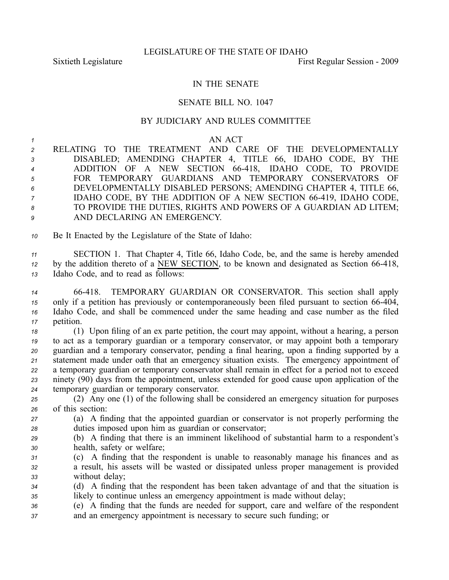## IN THE SENATE

## SENATE BILL NO. 1047

## BY JUDICIARY AND RULES COMMITTEE

## *1* AN ACT

 RELATING TO THE TREATMENT AND CARE OF THE DEVELOPMENTALLY DISABLED; AMENDING CHAPTER 4, TITLE 66, IDAHO CODE, BY THE ADDITION OF A NEW SECTION 66418, IDAHO CODE, TO PROVIDE FOR TEMPORARY GUARDIANS AND TEMPORARY CONSERVATORS OF DEVELOPMENTALLY DISABLED PERSONS; AMENDING CHAPTER 4, TITLE 66, IDAHO CODE, BY THE ADDITION OF A NEW SECTION 66-419, IDAHO CODE, TO PROVIDE THE DUTIES, RIGHTS AND POWERS OF A GUARDIAN AD LITEM; AND DECLARING AN EMERGENCY.

*<sup>10</sup>* Be It Enacted by the Legislature of the State of Idaho:

*<sup>11</sup>* SECTION 1. That Chapter 4, Title 66, Idaho Code, be, and the same is hereby amended <sup>12</sup> by the addition thereto of a NEW SECTION, to be known and designated as Section 66-418, *<sup>13</sup>* Idaho Code, and to read as follows:

 66418. TEMPORARY GUARDIAN OR CONSERVATOR. This section shall apply 15 only if a petition has previously or contemporaneously been filed pursuant to section 66-404, Idaho Code, and shall be commenced under the same heading and case number as the filed petition.

 (1) Upon filing of an ex parte petition, the court may appoint, without <sup>a</sup> hearing, <sup>a</sup> person to act as <sup>a</sup> temporary guardian or <sup>a</sup> temporary conservator, or may appoint both <sup>a</sup> temporary guardian and <sup>a</sup> temporary conservator, pending <sup>a</sup> final hearing, upon <sup>a</sup> finding supported by <sup>a</sup> statement made under oath that an emergency situation exists. The emergency appointment of <sup>a</sup> temporary guardian or temporary conservator shall remain in effect for <sup>a</sup> period not to exceed ninety (90) days from the appointment, unless extended for good cause upon application of the temporary guardian or temporary conservator.

- *<sup>25</sup>* (2) Any one (1) of the following shall be considered an emergency situation for purposes *<sup>26</sup>* of this section:
- *<sup>27</sup>* (a) A finding that the appointed guardian or conservator is not properly performing the *<sup>28</sup>* duties imposed upon him as guardian or conservator;
- *<sup>29</sup>* (b) A finding that there is an imminent likelihood of substantial harm to <sup>a</sup> respondent's *<sup>30</sup>* health, safety or welfare;
- *<sup>31</sup>* (c) A finding that the respondent is unable to reasonably manage his finances and as *<sup>32</sup>* <sup>a</sup> result, his assets will be wasted or dissipated unless proper managemen<sup>t</sup> is provided *<sup>33</sup>* without delay;
- *<sup>34</sup>* (d) A finding that the respondent has been taken advantage of and that the situation is *<sup>35</sup>* likely to continue unless an emergency appointment is made without delay;
- *<sup>36</sup>* (e) A finding that the funds are needed for support, care and welfare of the respondent *<sup>37</sup>* and an emergency appointment is necessary to secure such funding; or